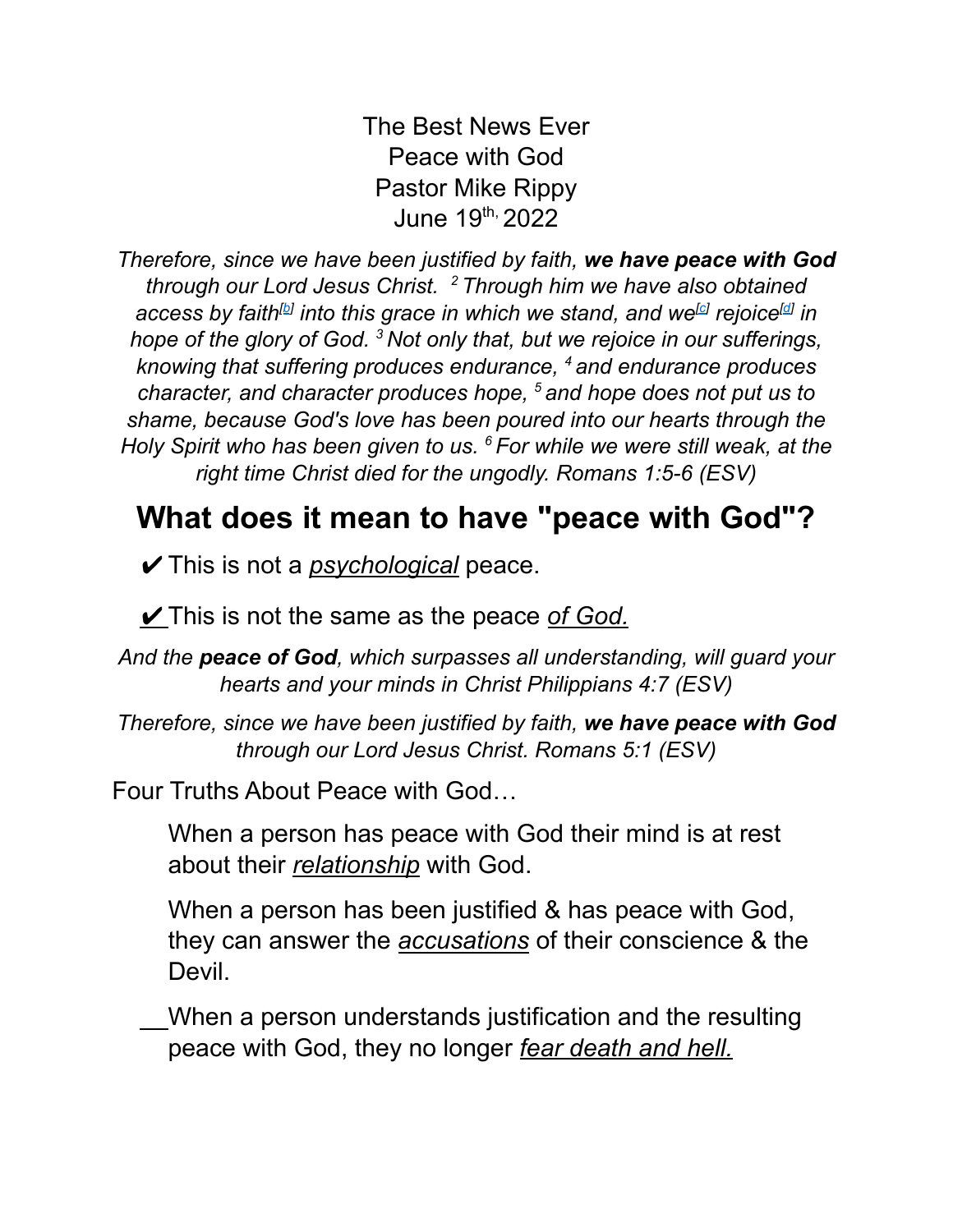The Best News Ever Peace with God Pastor Mike Rippy June 19<sup>th,</sup> 2022

*Therefore, since we have been justified by faith, we have peace with God through our Lord Jesus Christ. <sup>2</sup> Through him we have also obtained* access [b](https://www.biblegateway.com/passage/?search=Romans+5&version=ESV#fen-ESV-28034b)y faith<sup>[b]</sup> into this grace in which we stand, and we<sup>[\[c\]](https://www.biblegateway.com/passage/?search=Romans+5&version=ESV#fen-ESV-28034c)</sup> rejoice<sup>[\[d\]](https://www.biblegateway.com/passage/?search=Romans+5&version=ESV#fen-ESV-28034d)</sup> in *hope of the glory of God. <sup>3</sup> Not only that, but we rejoice in our sufferings, knowing that suffering produces endurance, <sup>4</sup> and endurance produces character, and character produces hope, <sup>5</sup> and hope does not put us to shame, because God's love has been poured into our hearts through the Holy Spirit who has been given to us. <sup>6</sup> For while we were still weak, at the right time Christ died for the ungodly. [Romans](https://biblia.com/bible/esv/Rom%205.1) 1:5-6 (ESV)*

## **What does it mean to have "peace with God"?**

✔This is not a *psychological* peace.

✔This is not the same as the peace *of God.*

*And the peace of God, which surpasses all understanding, will guard your hearts and your minds in Christ [Philippians](https://biblia.com/bible/esv/Phil%204.7) 4:7 (ESV)*

*Therefore, since we have been justified by faith, we have peace with God through our Lord Jesus Christ. [Romans](https://biblia.com/bible/esv/Rom%205.1) 5:1 (ESV)*

Four Truths About Peace with God…

When a person has peace with God their mind is at rest about their *relationship* with God.

When a person has been justified & has peace with God, they can answer the *accusations* of their conscience & the Devil.

When a person understands justification and the resulting peace with God, they no longer *fear death and hell.*